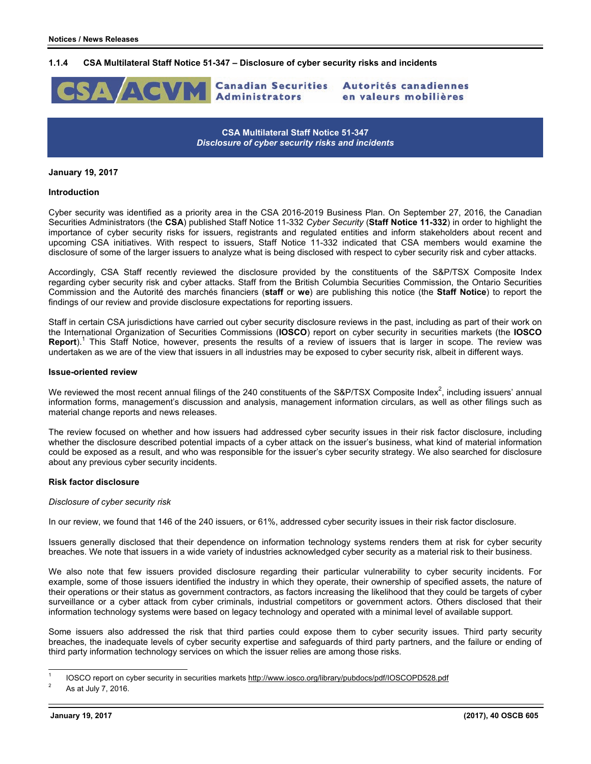### **1.1.4 CSA Multilateral Staff Notice 51-347 – Disclosure of cyber security risks and incidents**



**CSA Multilateral Staff Notice 51-347**  *Disclosure of cyber security risks and incidents* 

#### **January 19, 2017**

### **Introduction**

Cyber security was identified as a priority area in the CSA 2016-2019 Business Plan. On September 27, 2016, the Canadian Securities Administrators (the **CSA**) published Staff Notice 11-332 *Cyber Security* (**Staff Notice 11-332**) in order to highlight the importance of cyber security risks for issuers, registrants and regulated entities and inform stakeholders about recent and upcoming CSA initiatives. With respect to issuers, Staff Notice 11-332 indicated that CSA members would examine the disclosure of some of the larger issuers to analyze what is being disclosed with respect to cyber security risk and cyber attacks.

Accordingly, CSA Staff recently reviewed the disclosure provided by the constituents of the S&P/TSX Composite Index regarding cyber security risk and cyber attacks. Staff from the British Columbia Securities Commission, the Ontario Securities Commission and the Autorité des marchés financiers (**staff** or **we**) are publishing this notice (the **Staff Notice**) to report the findings of our review and provide disclosure expectations for reporting issuers.

Staff in certain CSA jurisdictions have carried out cyber security disclosure reviews in the past, including as part of their work on the International Organization of Securities Commissions (**IOSCO**) report on cyber security in securities markets (the **IOSCO**  Report).<sup>1</sup> This Staff Notice, however, presents the results of a review of issuers that is larger in scope. The review was undertaken as we are of the view that issuers in all industries may be exposed to cyber security risk, albeit in different ways.

#### **Issue-oriented review**

We reviewed the most recent annual filings of the 240 constituents of the S&P/TSX Composite Index<sup>2</sup>, including issuers' annual information forms, management's discussion and analysis, management information circulars, as well as other filings such as material change reports and news releases.

The review focused on whether and how issuers had addressed cyber security issues in their risk factor disclosure, including whether the disclosure described potential impacts of a cyber attack on the issuer's business, what kind of material information could be exposed as a result, and who was responsible for the issuer's cyber security strategy. We also searched for disclosure about any previous cyber security incidents.

### **Risk factor disclosure**

### *Disclosure of cyber security risk*

In our review, we found that 146 of the 240 issuers, or 61%, addressed cyber security issues in their risk factor disclosure.

Issuers generally disclosed that their dependence on information technology systems renders them at risk for cyber security breaches. We note that issuers in a wide variety of industries acknowledged cyber security as a material risk to their business.

We also note that few issuers provided disclosure regarding their particular vulnerability to cyber security incidents. For example, some of those issuers identified the industry in which they operate, their ownership of specified assets, the nature of their operations or their status as government contractors, as factors increasing the likelihood that they could be targets of cyber surveillance or a cyber attack from cyber criminals, industrial competitors or government actors. Others disclosed that their information technology systems were based on legacy technology and operated with a minimal level of available support.

Some issuers also addressed the risk that third parties could expose them to cyber security issues. Third party security breaches, the inadequate levels of cyber security expertise and safeguards of third party partners, and the failure or ending of third party information technology services on which the issuer relies are among those risks.

l

<sup>1</sup> IOSCO report on cyber security in securities markets http://www.iosco.org/library/pubdocs/pdf/IOSCOPD528.pdf

As at July 7, 2016.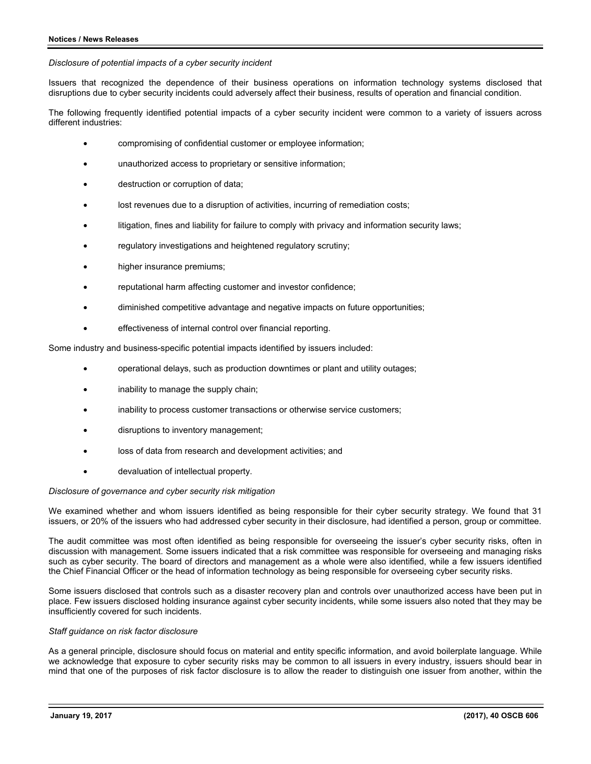### *Disclosure of potential impacts of a cyber security incident*

Issuers that recognized the dependence of their business operations on information technology systems disclosed that disruptions due to cyber security incidents could adversely affect their business, results of operation and financial condition.

The following frequently identified potential impacts of a cyber security incident were common to a variety of issuers across different industries:

- compromising of confidential customer or employee information;
- unauthorized access to proprietary or sensitive information;
- destruction or corruption of data;
- lost revenues due to a disruption of activities, incurring of remediation costs;
- litigation, fines and liability for failure to comply with privacy and information security laws;
- regulatory investigations and heightened regulatory scrutiny;
- higher insurance premiums;
- reputational harm affecting customer and investor confidence;
- diminished competitive advantage and negative impacts on future opportunities;
- effectiveness of internal control over financial reporting.

Some industry and business-specific potential impacts identified by issuers included:

- operational delays, such as production downtimes or plant and utility outages;
- inability to manage the supply chain;
- inability to process customer transactions or otherwise service customers;
- disruptions to inventory management;
- loss of data from research and development activities; and
- devaluation of intellectual property.

# *Disclosure of governance and cyber security risk mitigation*

We examined whether and whom issuers identified as being responsible for their cyber security strategy. We found that 31 issuers, or 20% of the issuers who had addressed cyber security in their disclosure, had identified a person, group or committee.

The audit committee was most often identified as being responsible for overseeing the issuer's cyber security risks, often in discussion with management. Some issuers indicated that a risk committee was responsible for overseeing and managing risks such as cyber security. The board of directors and management as a whole were also identified, while a few issuers identified the Chief Financial Officer or the head of information technology as being responsible for overseeing cyber security risks.

Some issuers disclosed that controls such as a disaster recovery plan and controls over unauthorized access have been put in place. Few issuers disclosed holding insurance against cyber security incidents, while some issuers also noted that they may be insufficiently covered for such incidents.

# *Staff guidance on risk factor disclosure*

As a general principle, disclosure should focus on material and entity specific information, and avoid boilerplate language. While we acknowledge that exposure to cyber security risks may be common to all issuers in every industry, issuers should bear in mind that one of the purposes of risk factor disclosure is to allow the reader to distinguish one issuer from another, within the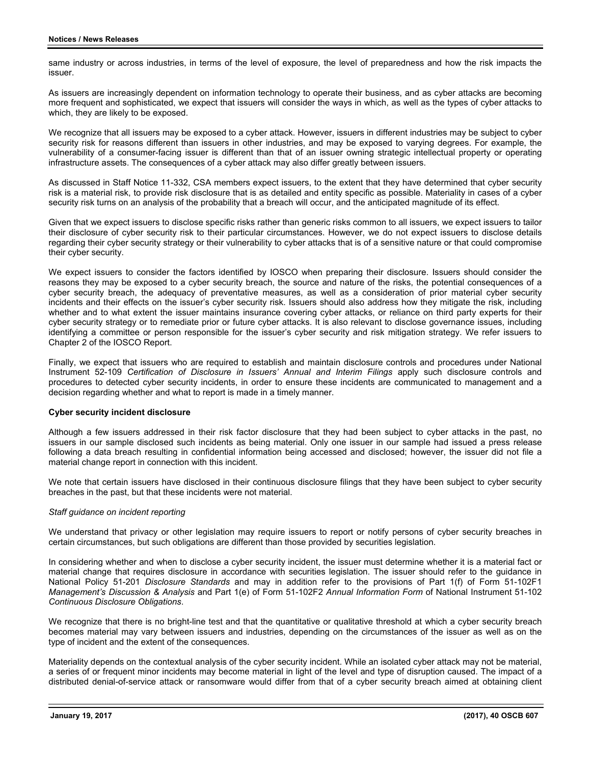same industry or across industries, in terms of the level of exposure, the level of preparedness and how the risk impacts the issuer.

As issuers are increasingly dependent on information technology to operate their business, and as cyber attacks are becoming more frequent and sophisticated, we expect that issuers will consider the ways in which, as well as the types of cyber attacks to which, they are likely to be exposed.

We recognize that all issuers may be exposed to a cyber attack. However, issuers in different industries may be subject to cyber security risk for reasons different than issuers in other industries, and may be exposed to varying degrees. For example, the vulnerability of a consumer-facing issuer is different than that of an issuer owning strategic intellectual property or operating infrastructure assets. The consequences of a cyber attack may also differ greatly between issuers.

As discussed in Staff Notice 11-332, CSA members expect issuers, to the extent that they have determined that cyber security risk is a material risk, to provide risk disclosure that is as detailed and entity specific as possible. Materiality in cases of a cyber security risk turns on an analysis of the probability that a breach will occur, and the anticipated magnitude of its effect.

Given that we expect issuers to disclose specific risks rather than generic risks common to all issuers, we expect issuers to tailor their disclosure of cyber security risk to their particular circumstances. However, we do not expect issuers to disclose details regarding their cyber security strategy or their vulnerability to cyber attacks that is of a sensitive nature or that could compromise their cyber security.

We expect issuers to consider the factors identified by IOSCO when preparing their disclosure. Issuers should consider the reasons they may be exposed to a cyber security breach, the source and nature of the risks, the potential consequences of a cyber security breach, the adequacy of preventative measures, as well as a consideration of prior material cyber security incidents and their effects on the issuer's cyber security risk. Issuers should also address how they mitigate the risk, including whether and to what extent the issuer maintains insurance covering cyber attacks, or reliance on third party experts for their cyber security strategy or to remediate prior or future cyber attacks. It is also relevant to disclose governance issues, including identifying a committee or person responsible for the issuer's cyber security and risk mitigation strategy. We refer issuers to Chapter 2 of the IOSCO Report.

Finally, we expect that issuers who are required to establish and maintain disclosure controls and procedures under National Instrument 52-109 *Certification of Disclosure in Issuers' Annual and Interim Filings* apply such disclosure controls and procedures to detected cyber security incidents, in order to ensure these incidents are communicated to management and a decision regarding whether and what to report is made in a timely manner.

# **Cyber security incident disclosure**

Although a few issuers addressed in their risk factor disclosure that they had been subject to cyber attacks in the past, no issuers in our sample disclosed such incidents as being material. Only one issuer in our sample had issued a press release following a data breach resulting in confidential information being accessed and disclosed; however, the issuer did not file a material change report in connection with this incident.

We note that certain issuers have disclosed in their continuous disclosure filings that they have been subject to cyber security breaches in the past, but that these incidents were not material.

### *Staff guidance on incident reporting*

We understand that privacy or other legislation may require issuers to report or notify persons of cyber security breaches in certain circumstances, but such obligations are different than those provided by securities legislation.

In considering whether and when to disclose a cyber security incident, the issuer must determine whether it is a material fact or material change that requires disclosure in accordance with securities legislation. The issuer should refer to the guidance in National Policy 51-201 *Disclosure Standards* and may in addition refer to the provisions of Part 1(f) of Form 51-102F1 *Management's Discussion & Analysis* and Part 1(e) of Form 51-102F2 *Annual Information Form* of National Instrument 51-102 *Continuous Disclosure Obligations*.

We recognize that there is no bright-line test and that the quantitative or qualitative threshold at which a cyber security breach becomes material may vary between issuers and industries, depending on the circumstances of the issuer as well as on the type of incident and the extent of the consequences.

Materiality depends on the contextual analysis of the cyber security incident. While an isolated cyber attack may not be material, a series of or frequent minor incidents may become material in light of the level and type of disruption caused. The impact of a distributed denial-of-service attack or ransomware would differ from that of a cyber security breach aimed at obtaining client